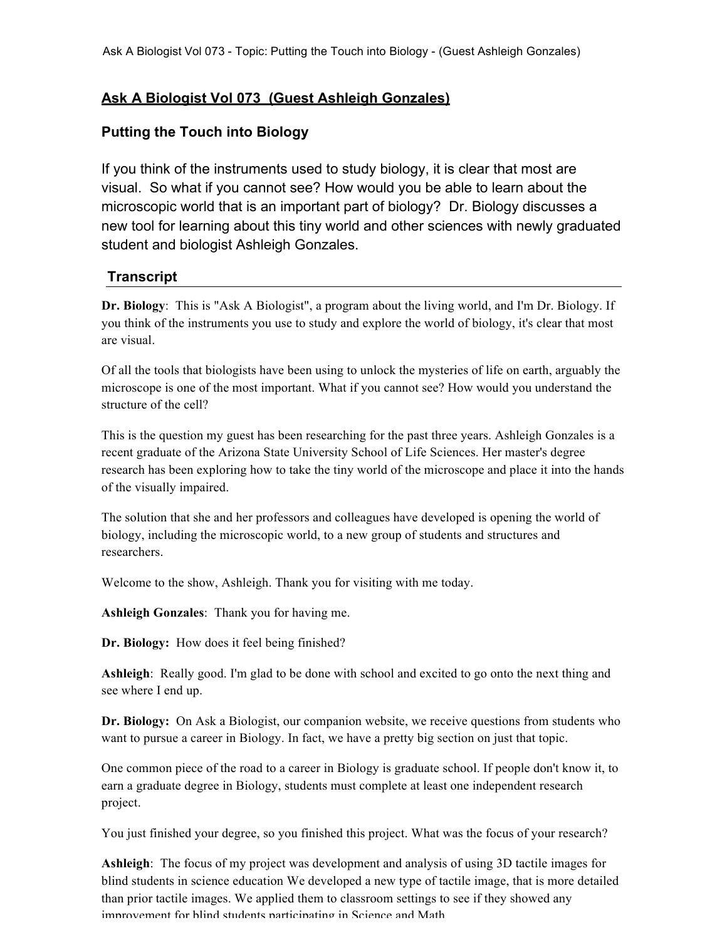## **Ask A Biologist Vol 073 (Guest Ashleigh Gonzales)**

## **Putting the Touch into Biology**

If you think of the instruments used to study biology, it is clear that most are visual. So what if you cannot see? How would you be able to learn about the microscopic world that is an important part of biology? Dr. Biology discusses a new tool for learning about this tiny world and other sciences with newly graduated student and biologist Ashleigh Gonzales.

## **Transcript**

**Dr. Biology**: This is "Ask A Biologist", a program about the living world, and I'm Dr. Biology. If you think of the instruments you use to study and explore the world of biology, it's clear that most are visual.

Of all the tools that biologists have been using to unlock the mysteries of life on earth, arguably the microscope is one of the most important. What if you cannot see? How would you understand the structure of the cell?

This is the question my guest has been researching for the past three years. Ashleigh Gonzales is a recent graduate of the Arizona State University School of Life Sciences. Her master's degree research has been exploring how to take the tiny world of the microscope and place it into the hands of the visually impaired.

The solution that she and her professors and colleagues have developed is opening the world of biology, including the microscopic world, to a new group of students and structures and researchers.

Welcome to the show, Ashleigh. Thank you for visiting with me today.

**Ashleigh Gonzales**: Thank you for having me.

**Dr. Biology:** How does it feel being finished?

**Ashleigh**: Really good. I'm glad to be done with school and excited to go onto the next thing and see where I end up.

**Dr. Biology:** On Ask a Biologist, our companion website, we receive questions from students who want to pursue a career in Biology. In fact, we have a pretty big section on just that topic.

One common piece of the road to a career in Biology is graduate school. If people don't know it, to earn a graduate degree in Biology, students must complete at least one independent research project.

You just finished your degree, so you finished this project. What was the focus of your research?

**Ashleigh**: The focus of my project was development and analysis of using 3D tactile images for blind students in science education We developed a new type of tactile image, that is more detailed than prior tactile images. We applied them to classroom settings to see if they showed any improvement for blind students participating in Science and Math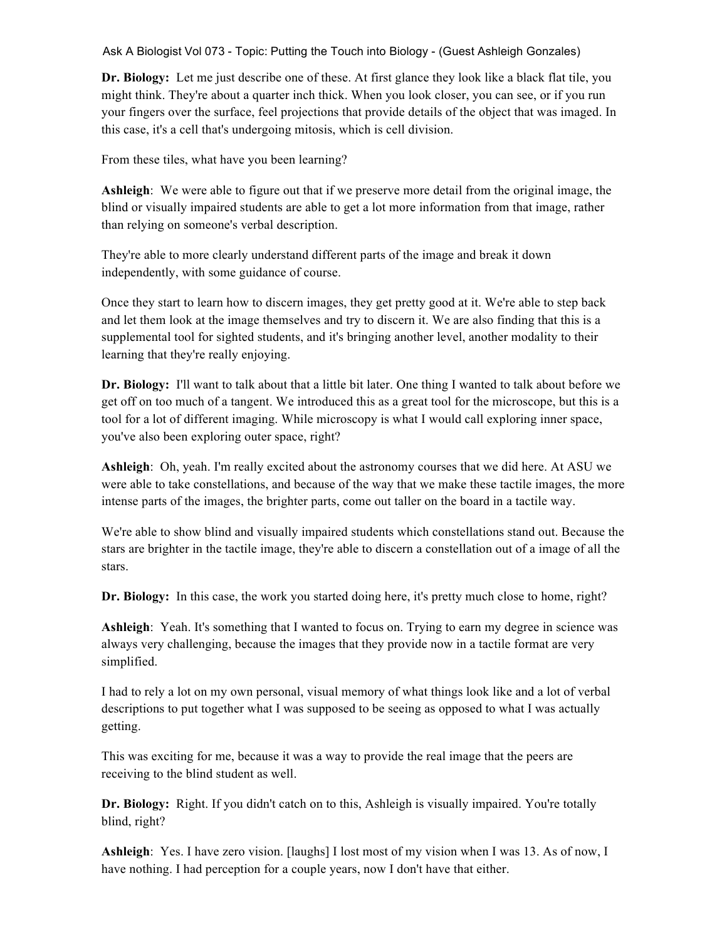**Dr. Biology:** Let me just describe one of these. At first glance they look like a black flat tile, you might think. They're about a quarter inch thick. When you look closer, you can see, or if you run your fingers over the surface, feel projections that provide details of the object that was imaged. In this case, it's a cell that's undergoing mitosis, which is cell division.

From these tiles, what have you been learning?

**Ashleigh**: We were able to figure out that if we preserve more detail from the original image, the blind or visually impaired students are able to get a lot more information from that image, rather than relying on someone's verbal description.

They're able to more clearly understand different parts of the image and break it down independently, with some guidance of course.

Once they start to learn how to discern images, they get pretty good at it. We're able to step back and let them look at the image themselves and try to discern it. We are also finding that this is a supplemental tool for sighted students, and it's bringing another level, another modality to their learning that they're really enjoying.

**Dr. Biology:** I'll want to talk about that a little bit later. One thing I wanted to talk about before we get off on too much of a tangent. We introduced this as a great tool for the microscope, but this is a tool for a lot of different imaging. While microscopy is what I would call exploring inner space, you've also been exploring outer space, right?

**Ashleigh**: Oh, yeah. I'm really excited about the astronomy courses that we did here. At ASU we were able to take constellations, and because of the way that we make these tactile images, the more intense parts of the images, the brighter parts, come out taller on the board in a tactile way.

We're able to show blind and visually impaired students which constellations stand out. Because the stars are brighter in the tactile image, they're able to discern a constellation out of a image of all the stars.

**Dr. Biology:** In this case, the work you started doing here, it's pretty much close to home, right?

**Ashleigh**: Yeah. It's something that I wanted to focus on. Trying to earn my degree in science was always very challenging, because the images that they provide now in a tactile format are very simplified.

I had to rely a lot on my own personal, visual memory of what things look like and a lot of verbal descriptions to put together what I was supposed to be seeing as opposed to what I was actually getting.

This was exciting for me, because it was a way to provide the real image that the peers are receiving to the blind student as well.

**Dr. Biology:** Right. If you didn't catch on to this, Ashleigh is visually impaired. You're totally blind, right?

**Ashleigh**: Yes. I have zero vision. [laughs] I lost most of my vision when I was 13. As of now, I have nothing. I had perception for a couple years, now I don't have that either.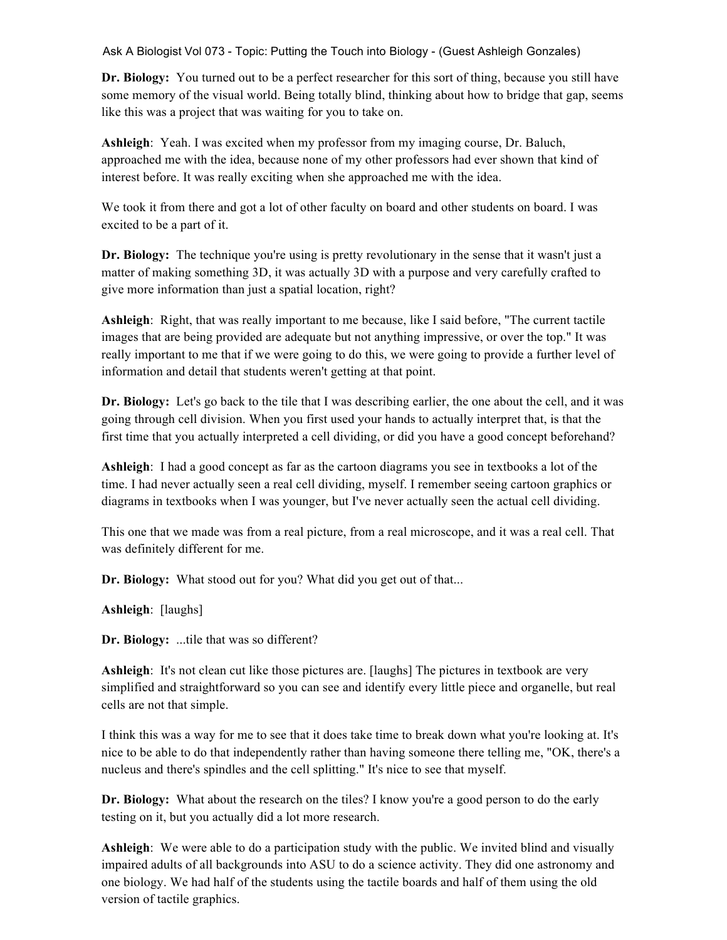**Dr. Biology:** You turned out to be a perfect researcher for this sort of thing, because you still have some memory of the visual world. Being totally blind, thinking about how to bridge that gap, seems like this was a project that was waiting for you to take on.

**Ashleigh**: Yeah. I was excited when my professor from my imaging course, Dr. Baluch, approached me with the idea, because none of my other professors had ever shown that kind of interest before. It was really exciting when she approached me with the idea.

We took it from there and got a lot of other faculty on board and other students on board. I was excited to be a part of it.

**Dr. Biology:** The technique you're using is pretty revolutionary in the sense that it wasn't just a matter of making something 3D, it was actually 3D with a purpose and very carefully crafted to give more information than just a spatial location, right?

**Ashleigh**: Right, that was really important to me because, like I said before, "The current tactile images that are being provided are adequate but not anything impressive, or over the top." It was really important to me that if we were going to do this, we were going to provide a further level of information and detail that students weren't getting at that point.

**Dr. Biology:** Let's go back to the tile that I was describing earlier, the one about the cell, and it was going through cell division. When you first used your hands to actually interpret that, is that the first time that you actually interpreted a cell dividing, or did you have a good concept beforehand?

**Ashleigh**: I had a good concept as far as the cartoon diagrams you see in textbooks a lot of the time. I had never actually seen a real cell dividing, myself. I remember seeing cartoon graphics or diagrams in textbooks when I was younger, but I've never actually seen the actual cell dividing.

This one that we made was from a real picture, from a real microscope, and it was a real cell. That was definitely different for me.

**Dr. Biology:** What stood out for you? What did you get out of that...

**Ashleigh**: [laughs]

**Dr. Biology:** ...tile that was so different?

**Ashleigh**: It's not clean cut like those pictures are. [laughs] The pictures in textbook are very simplified and straightforward so you can see and identify every little piece and organelle, but real cells are not that simple.

I think this was a way for me to see that it does take time to break down what you're looking at. It's nice to be able to do that independently rather than having someone there telling me, "OK, there's a nucleus and there's spindles and the cell splitting." It's nice to see that myself.

**Dr. Biology:** What about the research on the tiles? I know you're a good person to do the early testing on it, but you actually did a lot more research.

**Ashleigh**: We were able to do a participation study with the public. We invited blind and visually impaired adults of all backgrounds into ASU to do a science activity. They did one astronomy and one biology. We had half of the students using the tactile boards and half of them using the old version of tactile graphics.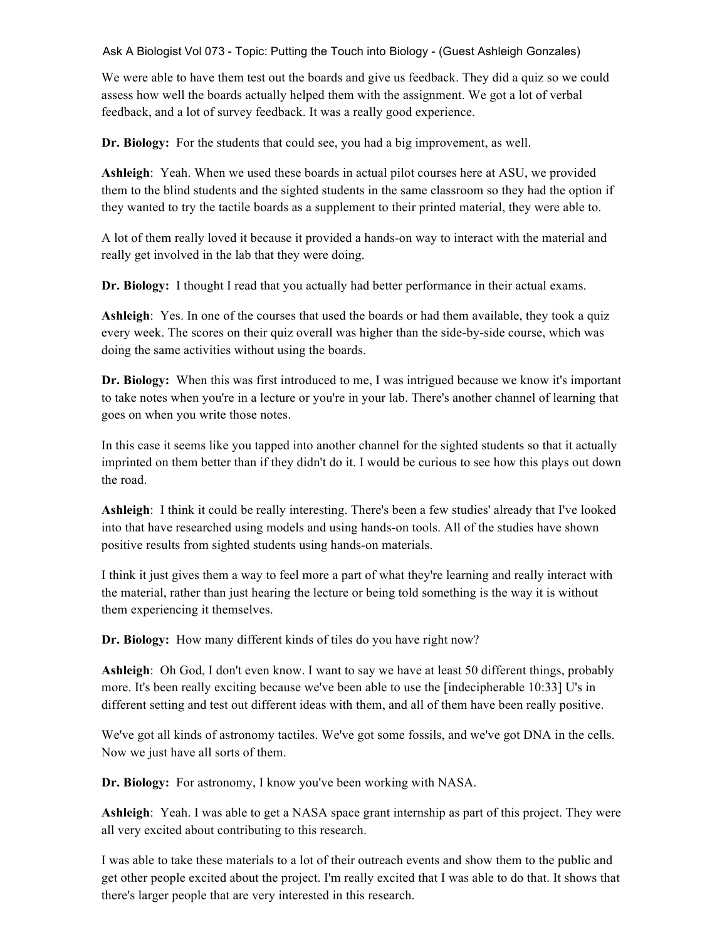We were able to have them test out the boards and give us feedback. They did a quiz so we could assess how well the boards actually helped them with the assignment. We got a lot of verbal feedback, and a lot of survey feedback. It was a really good experience.

**Dr. Biology:** For the students that could see, you had a big improvement, as well.

**Ashleigh**: Yeah. When we used these boards in actual pilot courses here at ASU, we provided them to the blind students and the sighted students in the same classroom so they had the option if they wanted to try the tactile boards as a supplement to their printed material, they were able to.

A lot of them really loved it because it provided a hands-on way to interact with the material and really get involved in the lab that they were doing.

**Dr. Biology:** I thought I read that you actually had better performance in their actual exams.

**Ashleigh**: Yes. In one of the courses that used the boards or had them available, they took a quiz every week. The scores on their quiz overall was higher than the side-by-side course, which was doing the same activities without using the boards.

**Dr. Biology:** When this was first introduced to me, I was intrigued because we know it's important to take notes when you're in a lecture or you're in your lab. There's another channel of learning that goes on when you write those notes.

In this case it seems like you tapped into another channel for the sighted students so that it actually imprinted on them better than if they didn't do it. I would be curious to see how this plays out down the road.

**Ashleigh**: I think it could be really interesting. There's been a few studies' already that I've looked into that have researched using models and using hands-on tools. All of the studies have shown positive results from sighted students using hands-on materials.

I think it just gives them a way to feel more a part of what they're learning and really interact with the material, rather than just hearing the lecture or being told something is the way it is without them experiencing it themselves.

**Dr. Biology:** How many different kinds of tiles do you have right now?

**Ashleigh**: Oh God, I don't even know. I want to say we have at least 50 different things, probably more. It's been really exciting because we've been able to use the [indecipherable 10:33] U's in different setting and test out different ideas with them, and all of them have been really positive.

We've got all kinds of astronomy tactiles. We've got some fossils, and we've got DNA in the cells. Now we just have all sorts of them.

**Dr. Biology:** For astronomy, I know you've been working with NASA.

**Ashleigh**: Yeah. I was able to get a NASA space grant internship as part of this project. They were all very excited about contributing to this research.

I was able to take these materials to a lot of their outreach events and show them to the public and get other people excited about the project. I'm really excited that I was able to do that. It shows that there's larger people that are very interested in this research.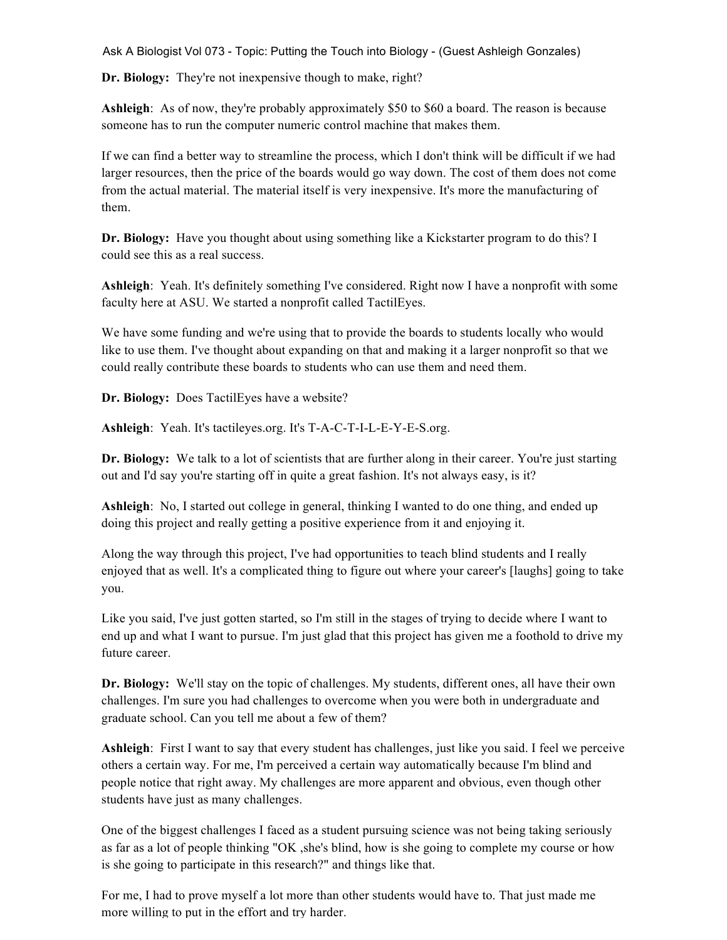**Dr. Biology:** They're not inexpensive though to make, right?

**Ashleigh**: As of now, they're probably approximately \$50 to \$60 a board. The reason is because someone has to run the computer numeric control machine that makes them.

If we can find a better way to streamline the process, which I don't think will be difficult if we had larger resources, then the price of the boards would go way down. The cost of them does not come from the actual material. The material itself is very inexpensive. It's more the manufacturing of them.

**Dr. Biology:** Have you thought about using something like a Kickstarter program to do this? I could see this as a real success.

**Ashleigh**: Yeah. It's definitely something I've considered. Right now I have a nonprofit with some faculty here at ASU. We started a nonprofit called TactilEyes.

We have some funding and we're using that to provide the boards to students locally who would like to use them. I've thought about expanding on that and making it a larger nonprofit so that we could really contribute these boards to students who can use them and need them.

**Dr. Biology:** Does TactilEyes have a website?

**Ashleigh**: Yeah. It's tactileyes.org. It's T-A-C-T-I-L-E-Y-E-S.org.

**Dr. Biology:** We talk to a lot of scientists that are further along in their career. You're just starting out and I'd say you're starting off in quite a great fashion. It's not always easy, is it?

**Ashleigh**: No, I started out college in general, thinking I wanted to do one thing, and ended up doing this project and really getting a positive experience from it and enjoying it.

Along the way through this project, I've had opportunities to teach blind students and I really enjoyed that as well. It's a complicated thing to figure out where your career's [laughs] going to take you.

Like you said, I've just gotten started, so I'm still in the stages of trying to decide where I want to end up and what I want to pursue. I'm just glad that this project has given me a foothold to drive my future career.

**Dr. Biology:** We'll stay on the topic of challenges. My students, different ones, all have their own challenges. I'm sure you had challenges to overcome when you were both in undergraduate and graduate school. Can you tell me about a few of them?

**Ashleigh**: First I want to say that every student has challenges, just like you said. I feel we perceive others a certain way. For me, I'm perceived a certain way automatically because I'm blind and people notice that right away. My challenges are more apparent and obvious, even though other students have just as many challenges.

One of the biggest challenges I faced as a student pursuing science was not being taking seriously as far as a lot of people thinking "OK ,she's blind, how is she going to complete my course or how is she going to participate in this research?" and things like that.

For me, I had to prove myself a lot more than other students would have to. That just made me more willing to put in the effort and try harder.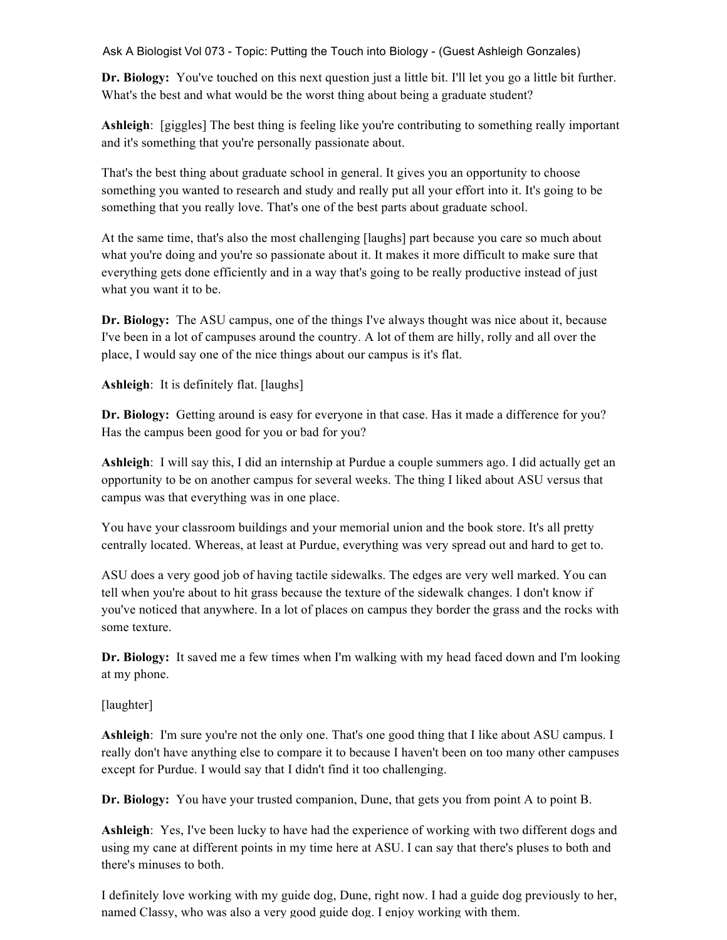**Dr. Biology:** You've touched on this next question just a little bit. I'll let you go a little bit further. What's the best and what would be the worst thing about being a graduate student?

**Ashleigh**: [giggles] The best thing is feeling like you're contributing to something really important and it's something that you're personally passionate about.

That's the best thing about graduate school in general. It gives you an opportunity to choose something you wanted to research and study and really put all your effort into it. It's going to be something that you really love. That's one of the best parts about graduate school.

At the same time, that's also the most challenging [laughs] part because you care so much about what you're doing and you're so passionate about it. It makes it more difficult to make sure that everything gets done efficiently and in a way that's going to be really productive instead of just what you want it to be.

**Dr. Biology:** The ASU campus, one of the things I've always thought was nice about it, because I've been in a lot of campuses around the country. A lot of them are hilly, rolly and all over the place, I would say one of the nice things about our campus is it's flat.

**Ashleigh**: It is definitely flat. [laughs]

**Dr. Biology:** Getting around is easy for everyone in that case. Has it made a difference for you? Has the campus been good for you or bad for you?

**Ashleigh**: I will say this, I did an internship at Purdue a couple summers ago. I did actually get an opportunity to be on another campus for several weeks. The thing I liked about ASU versus that campus was that everything was in one place.

You have your classroom buildings and your memorial union and the book store. It's all pretty centrally located. Whereas, at least at Purdue, everything was very spread out and hard to get to.

ASU does a very good job of having tactile sidewalks. The edges are very well marked. You can tell when you're about to hit grass because the texture of the sidewalk changes. I don't know if you've noticed that anywhere. In a lot of places on campus they border the grass and the rocks with some texture.

**Dr. Biology:** It saved me a few times when I'm walking with my head faced down and I'm looking at my phone.

[laughter]

**Ashleigh**: I'm sure you're not the only one. That's one good thing that I like about ASU campus. I really don't have anything else to compare it to because I haven't been on too many other campuses except for Purdue. I would say that I didn't find it too challenging.

**Dr. Biology:** You have your trusted companion, Dune, that gets you from point A to point B.

**Ashleigh**: Yes, I've been lucky to have had the experience of working with two different dogs and using my cane at different points in my time here at ASU. I can say that there's pluses to both and there's minuses to both.

I definitely love working with my guide dog, Dune, right now. I had a guide dog previously to her, named Classy, who was also a very good guide dog. I enjoy working with them.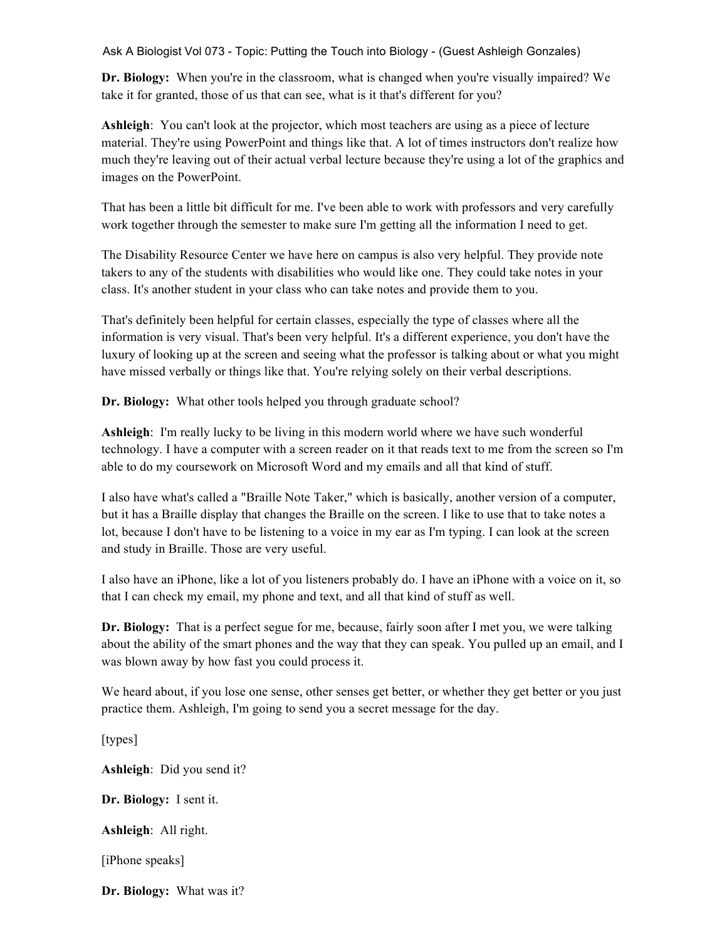**Dr. Biology:** When you're in the classroom, what is changed when you're visually impaired? We take it for granted, those of us that can see, what is it that's different for you?

**Ashleigh**: You can't look at the projector, which most teachers are using as a piece of lecture material. They're using PowerPoint and things like that. A lot of times instructors don't realize how much they're leaving out of their actual verbal lecture because they're using a lot of the graphics and images on the PowerPoint.

That has been a little bit difficult for me. I've been able to work with professors and very carefully work together through the semester to make sure I'm getting all the information I need to get.

The Disability Resource Center we have here on campus is also very helpful. They provide note takers to any of the students with disabilities who would like one. They could take notes in your class. It's another student in your class who can take notes and provide them to you.

That's definitely been helpful for certain classes, especially the type of classes where all the information is very visual. That's been very helpful. It's a different experience, you don't have the luxury of looking up at the screen and seeing what the professor is talking about or what you might have missed verbally or things like that. You're relying solely on their verbal descriptions.

**Dr. Biology:** What other tools helped you through graduate school?

**Ashleigh**: I'm really lucky to be living in this modern world where we have such wonderful technology. I have a computer with a screen reader on it that reads text to me from the screen so I'm able to do my coursework on Microsoft Word and my emails and all that kind of stuff.

I also have what's called a "Braille Note Taker," which is basically, another version of a computer, but it has a Braille display that changes the Braille on the screen. I like to use that to take notes a lot, because I don't have to be listening to a voice in my ear as I'm typing. I can look at the screen and study in Braille. Those are very useful.

I also have an iPhone, like a lot of you listeners probably do. I have an iPhone with a voice on it, so that I can check my email, my phone and text, and all that kind of stuff as well.

**Dr. Biology:** That is a perfect segue for me, because, fairly soon after I met you, we were talking about the ability of the smart phones and the way that they can speak. You pulled up an email, and I was blown away by how fast you could process it.

We heard about, if you lose one sense, other senses get better, or whether they get better or you just practice them. Ashleigh, I'm going to send you a secret message for the day.

[types]

**Ashleigh**: Did you send it?

**Dr. Biology:** I sent it.

**Ashleigh**: All right.

[iPhone speaks]

**Dr. Biology:** What was it?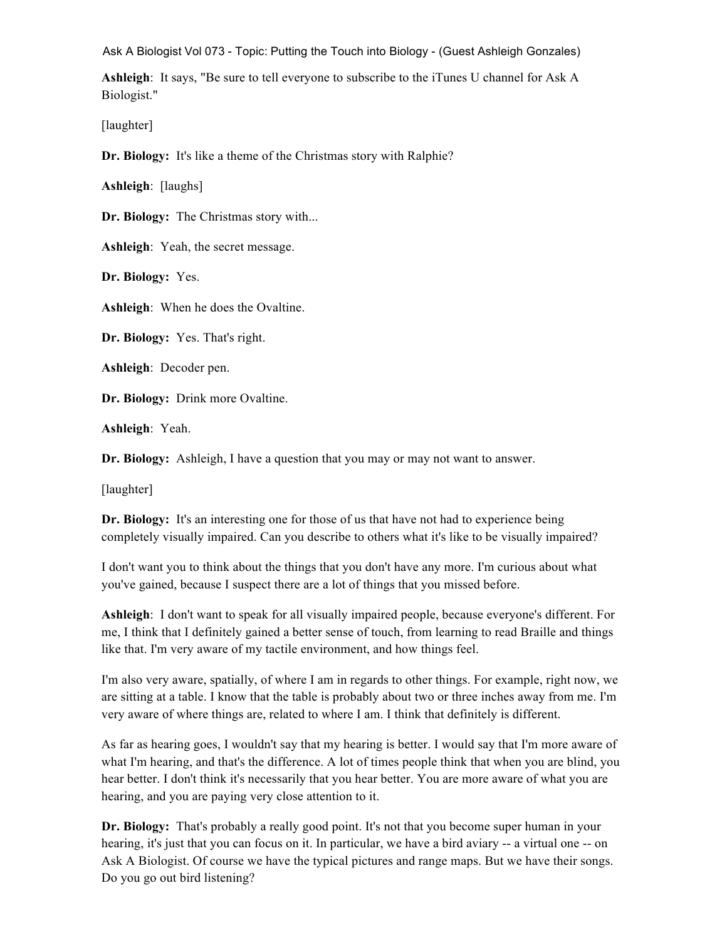**Ashleigh**: It says, "Be sure to tell everyone to subscribe to the iTunes U channel for Ask A Biologist."

[laughter]

**Dr. Biology:** It's like a theme of the Christmas story with Ralphie?

**Ashleigh**: [laughs]

**Dr. Biology:** The Christmas story with...

**Ashleigh**: Yeah, the secret message.

**Dr. Biology:** Yes.

**Ashleigh**: When he does the Ovaltine.

**Dr. Biology:** Yes. That's right.

**Ashleigh**: Decoder pen.

**Dr. Biology:** Drink more Ovaltine.

**Ashleigh**: Yeah.

**Dr. Biology:** Ashleigh, I have a question that you may or may not want to answer.

[laughter]

**Dr. Biology:** It's an interesting one for those of us that have not had to experience being completely visually impaired. Can you describe to others what it's like to be visually impaired?

I don't want you to think about the things that you don't have any more. I'm curious about what you've gained, because I suspect there are a lot of things that you missed before.

**Ashleigh**: I don't want to speak for all visually impaired people, because everyone's different. For me, I think that I definitely gained a better sense of touch, from learning to read Braille and things like that. I'm very aware of my tactile environment, and how things feel.

I'm also very aware, spatially, of where I am in regards to other things. For example, right now, we are sitting at a table. I know that the table is probably about two or three inches away from me. I'm very aware of where things are, related to where I am. I think that definitely is different.

As far as hearing goes, I wouldn't say that my hearing is better. I would say that I'm more aware of what I'm hearing, and that's the difference. A lot of times people think that when you are blind, you hear better. I don't think it's necessarily that you hear better. You are more aware of what you are hearing, and you are paying very close attention to it.

**Dr. Biology:** That's probably a really good point. It's not that you become super human in your hearing, it's just that you can focus on it. In particular, we have a bird aviary -- a virtual one -- on Ask A Biologist. Of course we have the typical pictures and range maps. But we have their songs. Do you go out bird listening?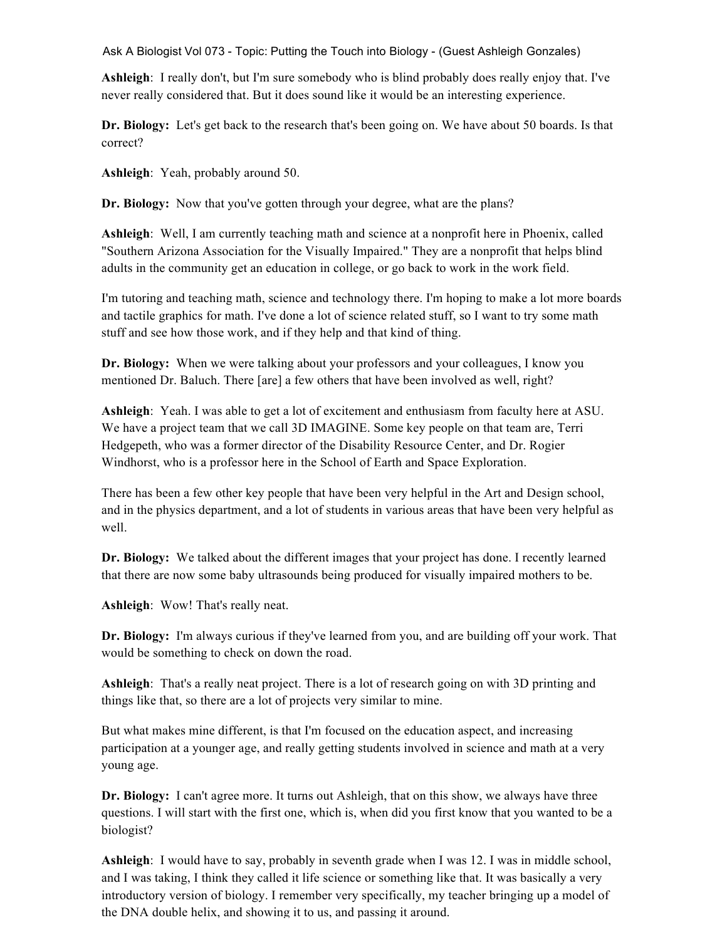**Ashleigh**: I really don't, but I'm sure somebody who is blind probably does really enjoy that. I've never really considered that. But it does sound like it would be an interesting experience.

**Dr. Biology:** Let's get back to the research that's been going on. We have about 50 boards. Is that correct?

**Ashleigh**: Yeah, probably around 50.

**Dr. Biology:** Now that you've gotten through your degree, what are the plans?

**Ashleigh**: Well, I am currently teaching math and science at a nonprofit here in Phoenix, called "Southern Arizona Association for the Visually Impaired." They are a nonprofit that helps blind adults in the community get an education in college, or go back to work in the work field.

I'm tutoring and teaching math, science and technology there. I'm hoping to make a lot more boards and tactile graphics for math. I've done a lot of science related stuff, so I want to try some math stuff and see how those work, and if they help and that kind of thing.

**Dr. Biology:** When we were talking about your professors and your colleagues, I know you mentioned Dr. Baluch. There [are] a few others that have been involved as well, right?

**Ashleigh**: Yeah. I was able to get a lot of excitement and enthusiasm from faculty here at ASU. We have a project team that we call 3D IMAGINE. Some key people on that team are, Terri Hedgepeth, who was a former director of the Disability Resource Center, and Dr. Rogier Windhorst, who is a professor here in the School of Earth and Space Exploration.

There has been a few other key people that have been very helpful in the Art and Design school, and in the physics department, and a lot of students in various areas that have been very helpful as well.

**Dr. Biology:** We talked about the different images that your project has done. I recently learned that there are now some baby ultrasounds being produced for visually impaired mothers to be.

**Ashleigh**: Wow! That's really neat.

**Dr. Biology:** I'm always curious if they've learned from you, and are building off your work. That would be something to check on down the road.

**Ashleigh**: That's a really neat project. There is a lot of research going on with 3D printing and things like that, so there are a lot of projects very similar to mine.

But what makes mine different, is that I'm focused on the education aspect, and increasing participation at a younger age, and really getting students involved in science and math at a very young age.

**Dr. Biology:** I can't agree more. It turns out Ashleigh, that on this show, we always have three questions. I will start with the first one, which is, when did you first know that you wanted to be a biologist?

**Ashleigh**: I would have to say, probably in seventh grade when I was 12. I was in middle school, and I was taking, I think they called it life science or something like that. It was basically a very introductory version of biology. I remember very specifically, my teacher bringing up a model of the DNA double helix, and showing it to us, and passing it around.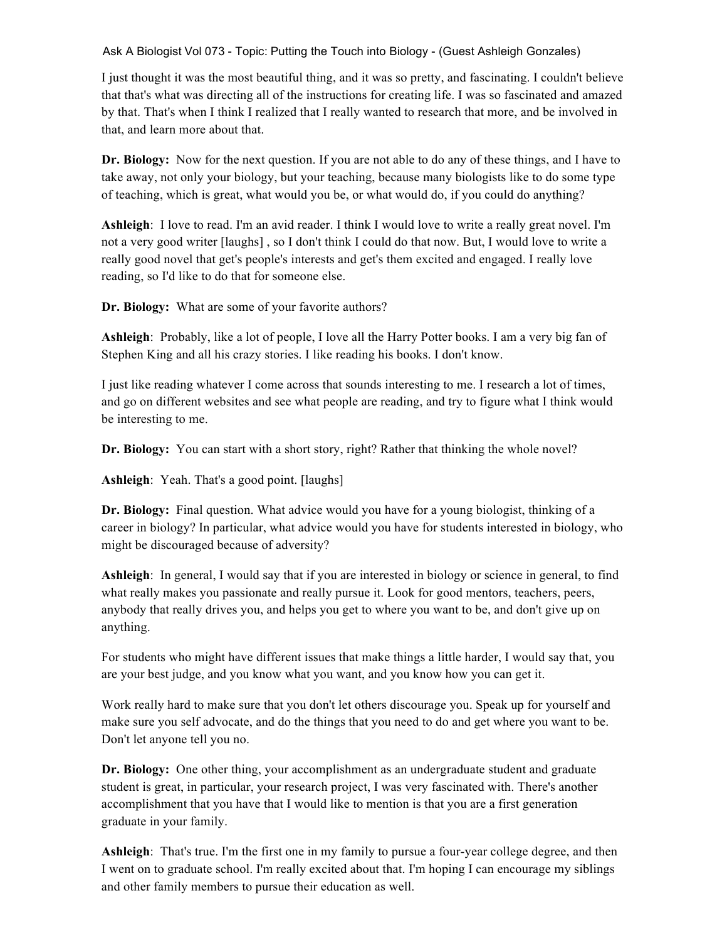I just thought it was the most beautiful thing, and it was so pretty, and fascinating. I couldn't believe that that's what was directing all of the instructions for creating life. I was so fascinated and amazed by that. That's when I think I realized that I really wanted to research that more, and be involved in that, and learn more about that.

**Dr. Biology:** Now for the next question. If you are not able to do any of these things, and I have to take away, not only your biology, but your teaching, because many biologists like to do some type of teaching, which is great, what would you be, or what would do, if you could do anything?

**Ashleigh**: I love to read. I'm an avid reader. I think I would love to write a really great novel. I'm not a very good writer [laughs] , so I don't think I could do that now. But, I would love to write a really good novel that get's people's interests and get's them excited and engaged. I really love reading, so I'd like to do that for someone else.

**Dr. Biology:** What are some of your favorite authors?

**Ashleigh**: Probably, like a lot of people, I love all the Harry Potter books. I am a very big fan of Stephen King and all his crazy stories. I like reading his books. I don't know.

I just like reading whatever I come across that sounds interesting to me. I research a lot of times, and go on different websites and see what people are reading, and try to figure what I think would be interesting to me.

**Dr. Biology:** You can start with a short story, right? Rather that thinking the whole novel?

**Ashleigh**: Yeah. That's a good point. [laughs]

**Dr. Biology:** Final question. What advice would you have for a young biologist, thinking of a career in biology? In particular, what advice would you have for students interested in biology, who might be discouraged because of adversity?

**Ashleigh**: In general, I would say that if you are interested in biology or science in general, to find what really makes you passionate and really pursue it. Look for good mentors, teachers, peers, anybody that really drives you, and helps you get to where you want to be, and don't give up on anything.

For students who might have different issues that make things a little harder, I would say that, you are your best judge, and you know what you want, and you know how you can get it.

Work really hard to make sure that you don't let others discourage you. Speak up for yourself and make sure you self advocate, and do the things that you need to do and get where you want to be. Don't let anyone tell you no.

**Dr. Biology:** One other thing, your accomplishment as an undergraduate student and graduate student is great, in particular, your research project, I was very fascinated with. There's another accomplishment that you have that I would like to mention is that you are a first generation graduate in your family.

**Ashleigh**: That's true. I'm the first one in my family to pursue a four-year college degree, and then I went on to graduate school. I'm really excited about that. I'm hoping I can encourage my siblings and other family members to pursue their education as well.